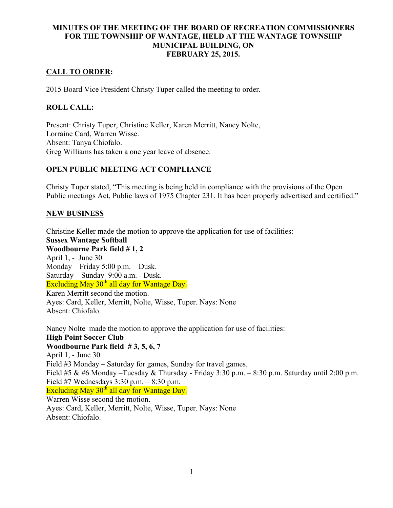## MINUTES OF THE MEETING OF THE BOARD OF RECREATION COMMISSIONERS FOR THE TOWNSHIP OF WANTAGE, HELD AT THE WANTAGE TOWNSHIP MUNICIPAL BUILDING, ON FEBRUARY 25, 2015.

## CALL TO ORDER:

2015 Board Vice President Christy Tuper called the meeting to order.

## ROLL CALL:

Present: Christy Tuper, Christine Keller, Karen Merritt, Nancy Nolte, Lorraine Card, Warren Wisse. Absent: Tanya Chiofalo. Greg Williams has taken a one year leave of absence.

## OPEN PUBLIC MEETING ACT COMPLIANCE

Christy Tuper stated, "This meeting is being held in compliance with the provisions of the Open Public meetings Act, Public laws of 1975 Chapter 231. It has been properly advertised and certified."

## NEW BUSINESS

Christine Keller made the motion to approve the application for use of facilities: Sussex Wantage Softball Woodbourne Park field # 1, 2 April 1, - June 30 Monday – Friday 5:00 p.m. – Dusk. Saturday – Sunday 9:00 a.m. - Dusk. Excluding May  $30<sup>th</sup>$  all day for Wantage Day. Karen Merritt second the motion. Ayes: Card, Keller, Merritt, Nolte, Wisse, Tuper. Nays: None Absent: Chiofalo.

Nancy Nolte made the motion to approve the application for use of facilities: High Point Soccer Club Woodbourne Park field # 3, 5, 6, 7 April 1, - June 30 Field #3 Monday – Saturday for games, Sunday for travel games. Field #5 & #6 Monday –Tuesday & Thursday - Friday 3:30 p.m. – 8:30 p.m. Saturday until 2:00 p.m. Field #7 Wednesdays 3:30 p.m. – 8:30 p.m. Excluding May  $30<sup>th</sup>$  all day for Wantage Day. Warren Wisse second the motion. Ayes: Card, Keller, Merritt, Nolte, Wisse, Tuper. Nays: None Absent: Chiofalo.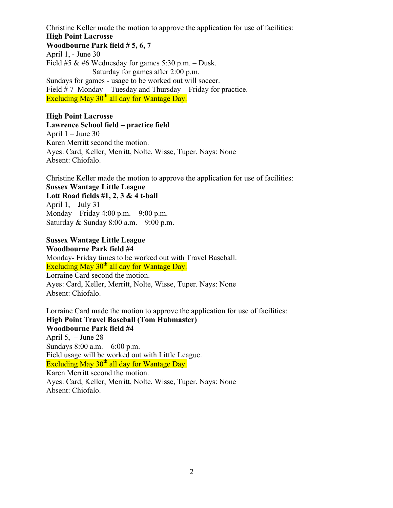Christine Keller made the motion to approve the application for use of facilities:

#### High Point Lacrosse

Woodbourne Park field # 5, 6, 7 April 1, - June 30

Field #5  $\&$  #6 Wednesday for games 5:30 p.m. – Dusk. Saturday for games after 2:00 p.m. Sundays for games - usage to be worked out will soccer. Field  $# 7$  Monday – Tuesday and Thursday – Friday for practice. Excluding May  $30<sup>th</sup>$  all day for Wantage Day.

### High Point Lacrosse

Lawrence School field – practice field April 1 – June 30 Karen Merritt second the motion. Ayes: Card, Keller, Merritt, Nolte, Wisse, Tuper. Nays: None Absent: Chiofalo.

Christine Keller made the motion to approve the application for use of facilities: Sussex Wantage Little League Lott Road fields  $#1, 2, 3 \& 4$  t-ball April  $1, -$  July 31 Monday – Friday 4:00 p.m. – 9:00 p.m. Saturday & Sunday 8:00 a.m. – 9:00 p.m.

#### Sussex Wantage Little League

Woodbourne Park field #4 Monday- Friday times to be worked out with Travel Baseball. Excluding May  $30<sup>th</sup>$  all day for Wantage Day. Lorraine Card second the motion.

Ayes: Card, Keller, Merritt, Nolte, Wisse, Tuper. Nays: None Absent: Chiofalo.

Lorraine Card made the motion to approve the application for use of facilities: High Point Travel Baseball (Tom Hubmaster) Woodbourne Park field #4 April  $5, -$  June 28 Sundays 8:00 a.m. – 6:00 p.m. Field usage will be worked out with Little League. Excluding May  $30<sup>th</sup>$  all day for Wantage Day. Karen Merritt second the motion. Ayes: Card, Keller, Merritt, Nolte, Wisse, Tuper. Nays: None Absent: Chiofalo.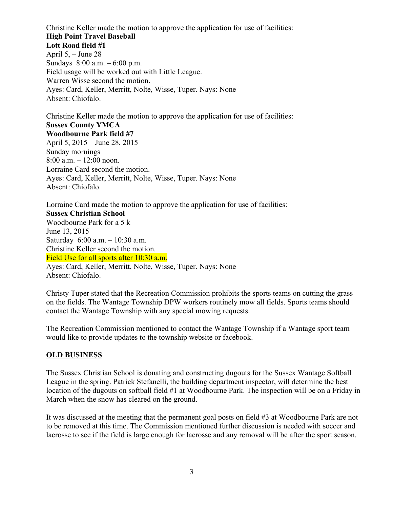Christine Keller made the motion to approve the application for use of facilities: High Point Travel Baseball Lott Road field #1 April 5, – June 28 Sundays 8:00 a.m. – 6:00 p.m. Field usage will be worked out with Little League. Warren Wisse second the motion. Ayes: Card, Keller, Merritt, Nolte, Wisse, Tuper. Nays: None Absent: Chiofalo.

Christine Keller made the motion to approve the application for use of facilities: Sussex County YMCA Woodbourne Park field #7 April 5, 2015 – June 28, 2015 Sunday mornings 8:00 a.m. – 12:00 noon. Lorraine Card second the motion. Ayes: Card, Keller, Merritt, Nolte, Wisse, Tuper. Nays: None Absent: Chiofalo.

Lorraine Card made the motion to approve the application for use of facilities: Sussex Christian School Woodbourne Park for a 5 k June 13, 2015 Saturday 6:00 a.m. – 10:30 a.m. Christine Keller second the motion. Field Use for all sports after 10:30 a.m. Ayes: Card, Keller, Merritt, Nolte, Wisse, Tuper. Nays: None Absent: Chiofalo.

Christy Tuper stated that the Recreation Commission prohibits the sports teams on cutting the grass on the fields. The Wantage Township DPW workers routinely mow all fields. Sports teams should contact the Wantage Township with any special mowing requests.

The Recreation Commission mentioned to contact the Wantage Township if a Wantage sport team would like to provide updates to the township website or facebook.

#### OLD BUSINESS

The Sussex Christian School is donating and constructing dugouts for the Sussex Wantage Softball League in the spring. Patrick Stefanelli, the building department inspector, will determine the best location of the dugouts on softball field #1 at Woodbourne Park. The inspection will be on a Friday in March when the snow has cleared on the ground.

It was discussed at the meeting that the permanent goal posts on field #3 at Woodbourne Park are not to be removed at this time. The Commission mentioned further discussion is needed with soccer and lacrosse to see if the field is large enough for lacrosse and any removal will be after the sport season.